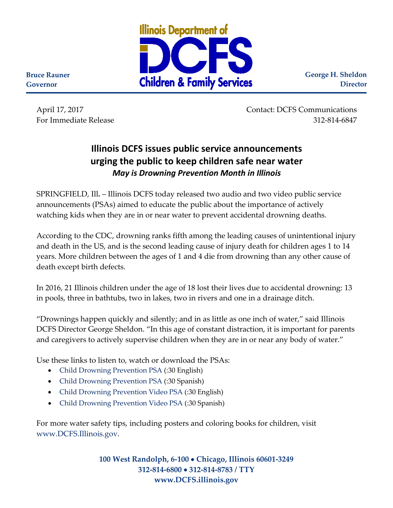

**George H. Sheldon Director**

**Governor**

**Bruce Rauner**

April 17, 2017 Contact: DCFS Communications For Immediate Release 312-814-6847

## **Illinois DCFS issues public service announcements urging the public to keep children safe near water** *May is Drowning Prevention Month in Illinois*

SPRINGFIELD, Ill**.** – Illinois DCFS today released two audio and two video public service announcements (PSAs) aimed to educate the public about the importance of actively watching kids when they are in or near water to prevent accidental drowning deaths.

According to the CDC, drowning ranks fifth among the leading causes of unintentional injury and death in the US, and is the second leading cause of injury death for children ages 1 to 14 years. More children between the ages of 1 and 4 die from drowning than any other cause of death except birth defects.

In 2016, 21 Illinois children under the age of 18 lost their lives due to accidental drowning: 13 in pools, three in bathtubs, two in lakes, two in rivers and one in a drainage ditch.

"Drownings happen quickly and silently; and in as little as one inch of water," said Illinois DCFS Director George Sheldon. "In this age of constant distraction, it is important for parents and caregivers to actively supervise children when they are in or near any body of water."

Use these links to listen to, watch or download the PSAs:

- [Child Drowning Prevention PSA](https://www.illinois.gov/dcfs/aboutus/newsandreports/PSA/PSA/DCFS_DROWNING_PREVENTION_2016.mp3) (:30 English)
- [Child Drowning Prevention PSA](https://www.illinois.gov/dcfs/aboutus/newsandreports/PSA/PSA/DCFS_DROWNING_PREVENTION_2016_SPANISH.mp3) (:30 Spanish)
- [Child Drowning Prevention Video PSA](https://www.illinois.gov/dcfs/aboutus/newsandreports/PSA/PSA/Bath_DualLogos-H264.mov) (:30 English)
- [Child Drowning Prevention Video PSA](https://www.illinois.gov/dcfs/aboutus/newsandreports/PSA/PSA/Bath_SPANISH_DualLogo-H264.mov) (:30 Spanish)

For more water safety tips, including posters and coloring books for children, visit [www.DCFS.Illinois.gov.](http://www.dcfs.illinois.gov/)

> **100 West Randolph, 6-100** • **Chicago, Illinois 60601-3249 312-814-6800** • **312-814-8783 / TTY www.DCFS.illinois.gov**